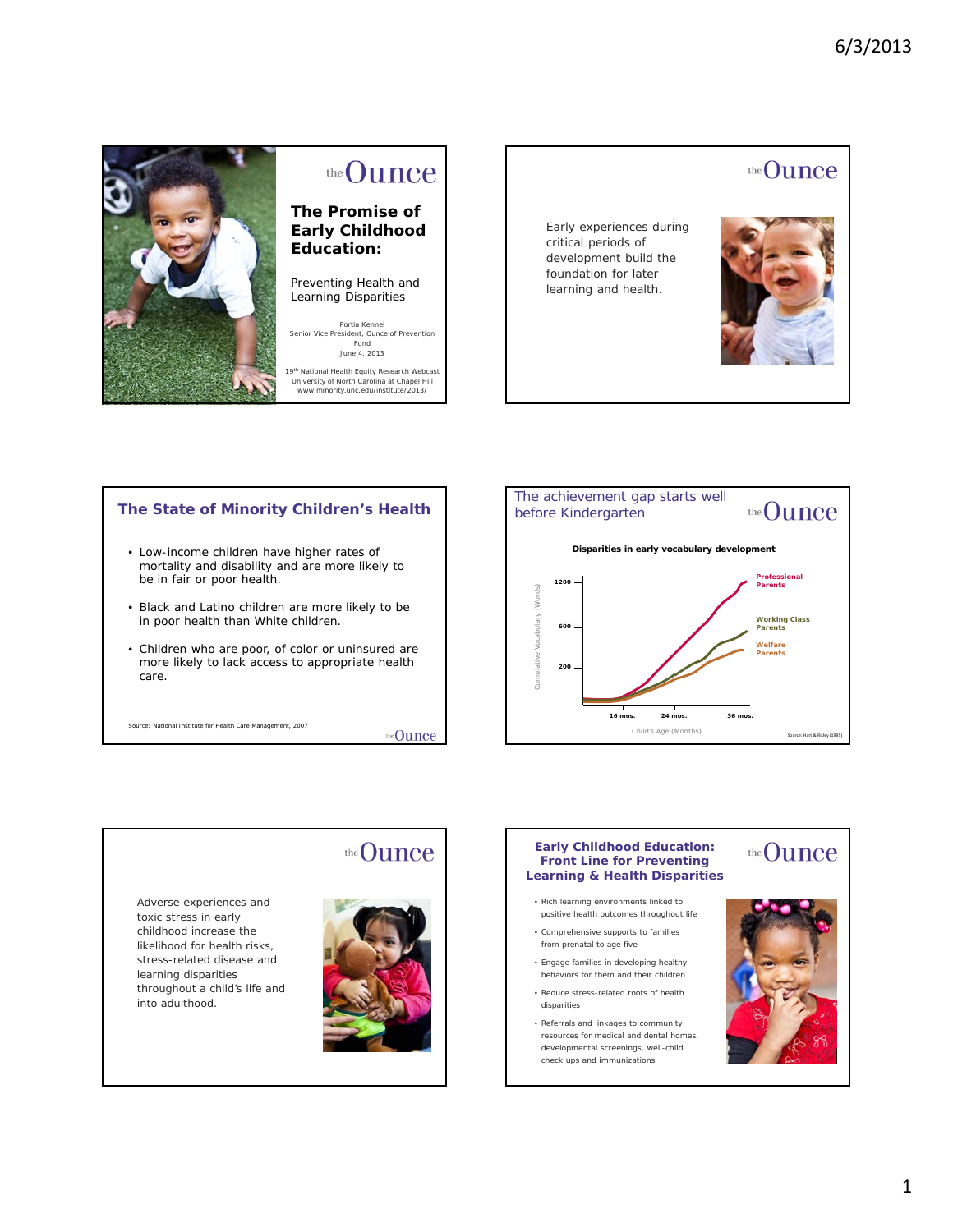

# the Ounce

### **The Promise of Early Childhood Education:**

Preventing Health and Learning Disparities

*Portia Kennel Senior Vice President, Ounce of Prevention Fund June 4, 2013*

19<sup>th</sup> National Health Equity Research Webcast University of North Carolina at Chapel Hill www.minority.unc.edu/institute/2013/



### **The State of Minority Children's Health**

- Low-income children have higher rates of mortality and disability and are more likely to be in fair or poor health.
- Black and Latino children are more likely to be in poor health than White children.
- Children who are poor, of color or uninsured are more likely to lack access to appropriate health care.

Source: National Institute for Health Care Management, 2007

the Ounce





# 1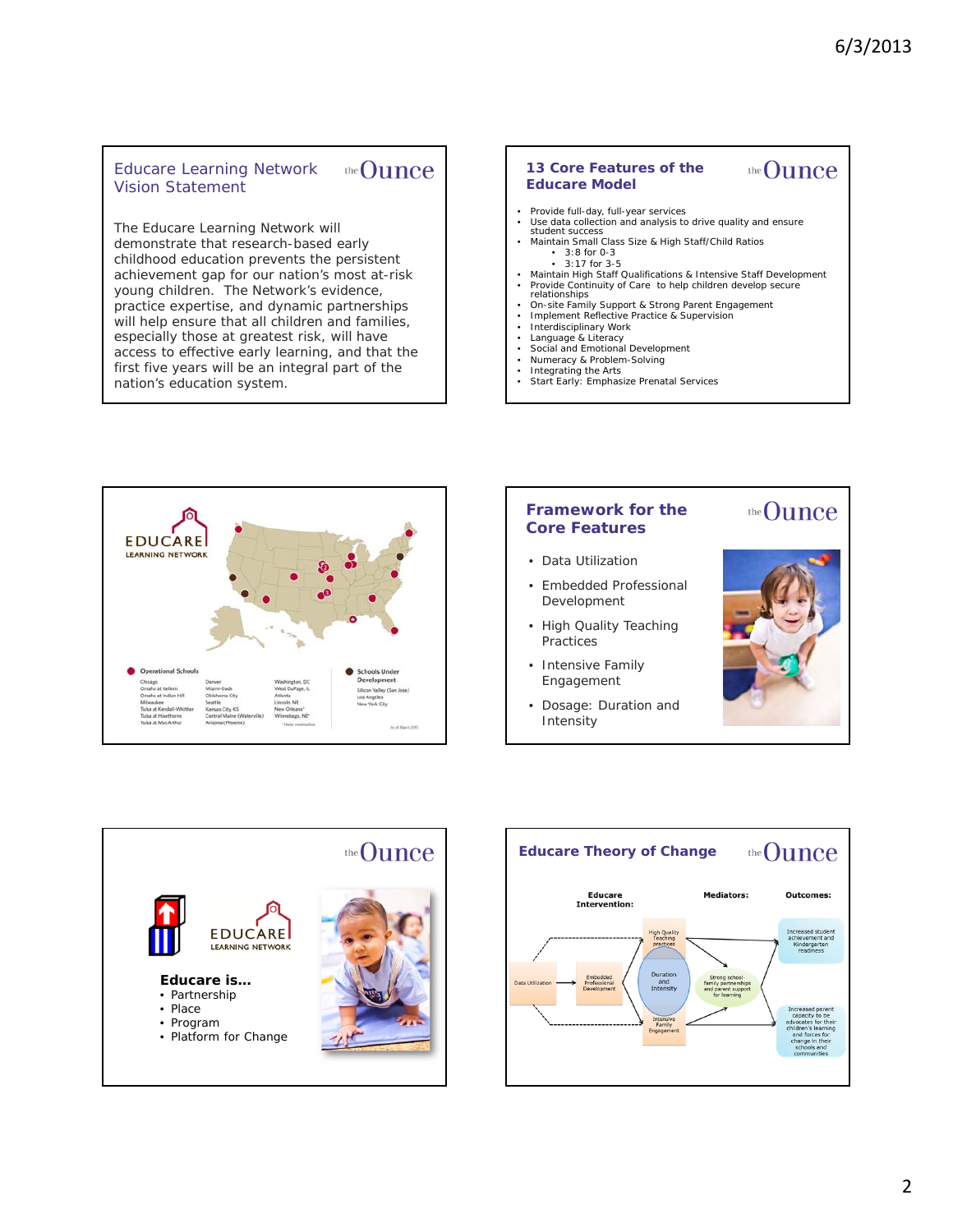#### Educare Learning Network the **Ounce** Vision Statement

The Educare Learning Network will demonstrate that research-based early childhood education prevents the persistent achievement gap for our nation's most at-risk young children. The Network's evidence, practice expertise, and dynamic partnerships will help ensure that all children and families, especially those at greatest risk, will have access to effective early learning, and that the first five years will be an integral part of the nation's education system.

#### the **Ounce 13 Core Features of the Educare Model**

- 
- Provide full-day, full-year services Use data collection and analysis to drive quality and ensure student success
- Maintain Small Class Size & High Staff/Child Ratios •  $3:8$  for 0-3  $\cdot$  3:17 for 3-5
- Maintain High Staff Qualifications & Intensive Staff Development
- 
- Provide Continuity of Care to help children develop secure relationships On-site Family Support & Strong Parent Engagement
- Implement Reflective Practice & Supervision
- Interdisciplinary Work
- Language & Literacy Social and Emotional Development
- 
- 
- Numeracy & Problem-Solving Integrating the Arts Start Early: Emphasize Prenatal Services



#### **Framework for the Core Features**

- Data Utilization
- Embedded Professional Development
- High Quality Teaching **Practices**
- Intensive Family Engagement
- Dosage: Duration and Intensity



the Ounce



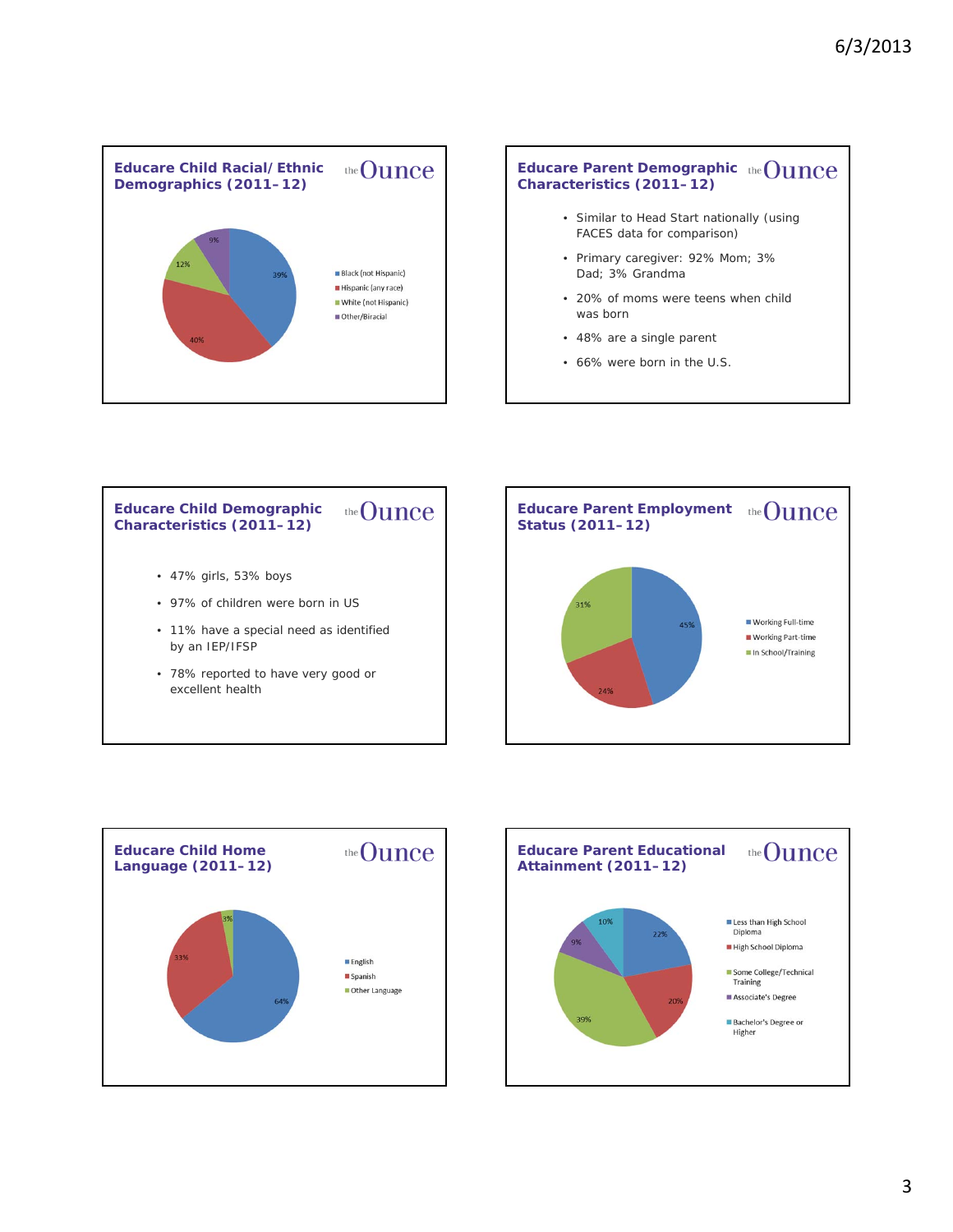

### **Educare Parent Demographic Characteristics (2011–12)**

- Similar to Head Start nationally (using FACES data for comparison)
- Primary caregiver: 92% Mom; 3% Dad; 3% Grandma
- 20% of moms were teens when child was born
- 48% are a single parent
- 66% were born in the U.S.







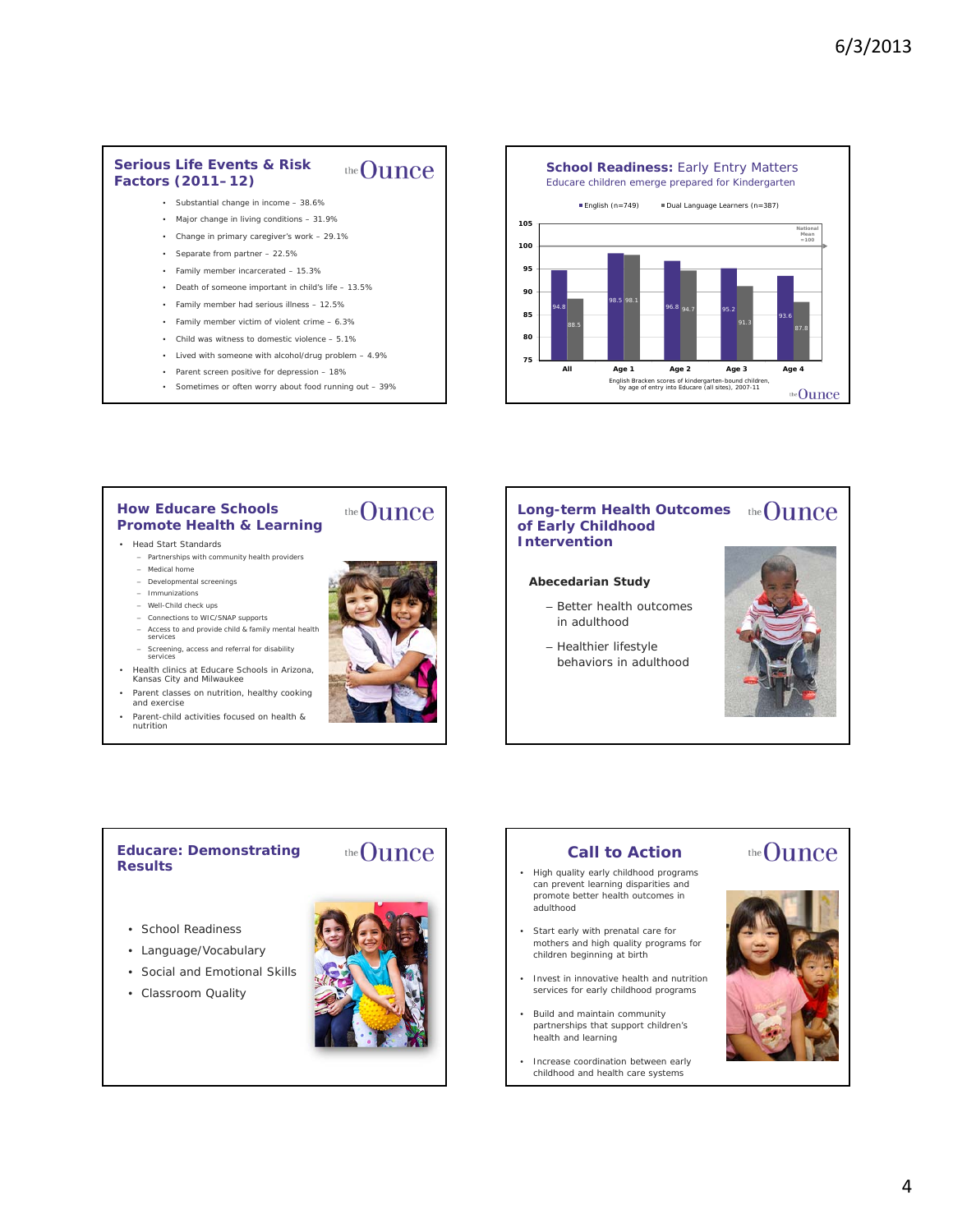#### **Serious Life Events & Risk**  the **Ounce Factors (2011–12)**

- Substantial change in income 38.6%
- Major change in living conditions 31.9%
- Change in primary caregiver's work 29.1%
- Separate from partner 22.5%
- Family member incarcerated 15.3%
- Death of someone important in child's life 13.5%
- Family member had serious illness 12.5%
- Family member victim of violent crime 6.3%
- Child was witness to domestic violence 5.1%
- Lived with someone with alcohol/drug problem 4.9%
- Parent screen positive for depression 18%
- Sometimes or often worry about food running out 39%

**School Readiness: Early Entry Matters** Educare children emerge prepared for Kindergarten English (n=749) Dual Language Learners (n=387) **105 National Mean 100 =100 95 90** 98.5 98.1 94.8 96.8 94.7 95.2 **85** 94.7 93.6 91.3 88.5 87.8 **80 75** All Age 1 Age 2 Age 3 English Bracken scores of kindergarten-bound children, by age of entry into Educare (all sites), 2007-11 the Ounce

#### **How Educare Schools Promote Health & Learning**

#### • Head Start Standards

- Partnerships with community health providers
- Medical home – Developmental screenings
- Immunizations
- Well-Child check ups
- Connections to WIC/SNAP supports
- Access to and provide child & family mental health services
- Screening, access and referral for disability services
- Health clinics at Educare Schools in Arizona, Kansas City and Milwaukee
- Parent classes on nutrition, healthy cooking and exercise
- Parent-child activities focused on health & nutrition

# the Ounce

#### **Long-term Health Outcomes of Early Childhood Intervention**

#### **Abecedarian Study**

- Better health outcomes in adulthood
- Healthier lifestyle behaviors in adulthood



#### **Educare: Demonstrating Results**

- School Readiness
- Language/Vocabulary
- Social and Emotional Skills
- Classroom Quality



the Ounce

### **Call to Action**

- High quality early childhood programs can prevent learning disparities and promote better health outcomes in adulthood
- Start early with prenatal care for mothers and high quality programs for children beginning at birth
- Invest in innovative health and nutrition services for early childhood programs
- Build and maintain community partnerships that support children's health and learning
- Increase coordination between early childhood and health care systems



the Ounce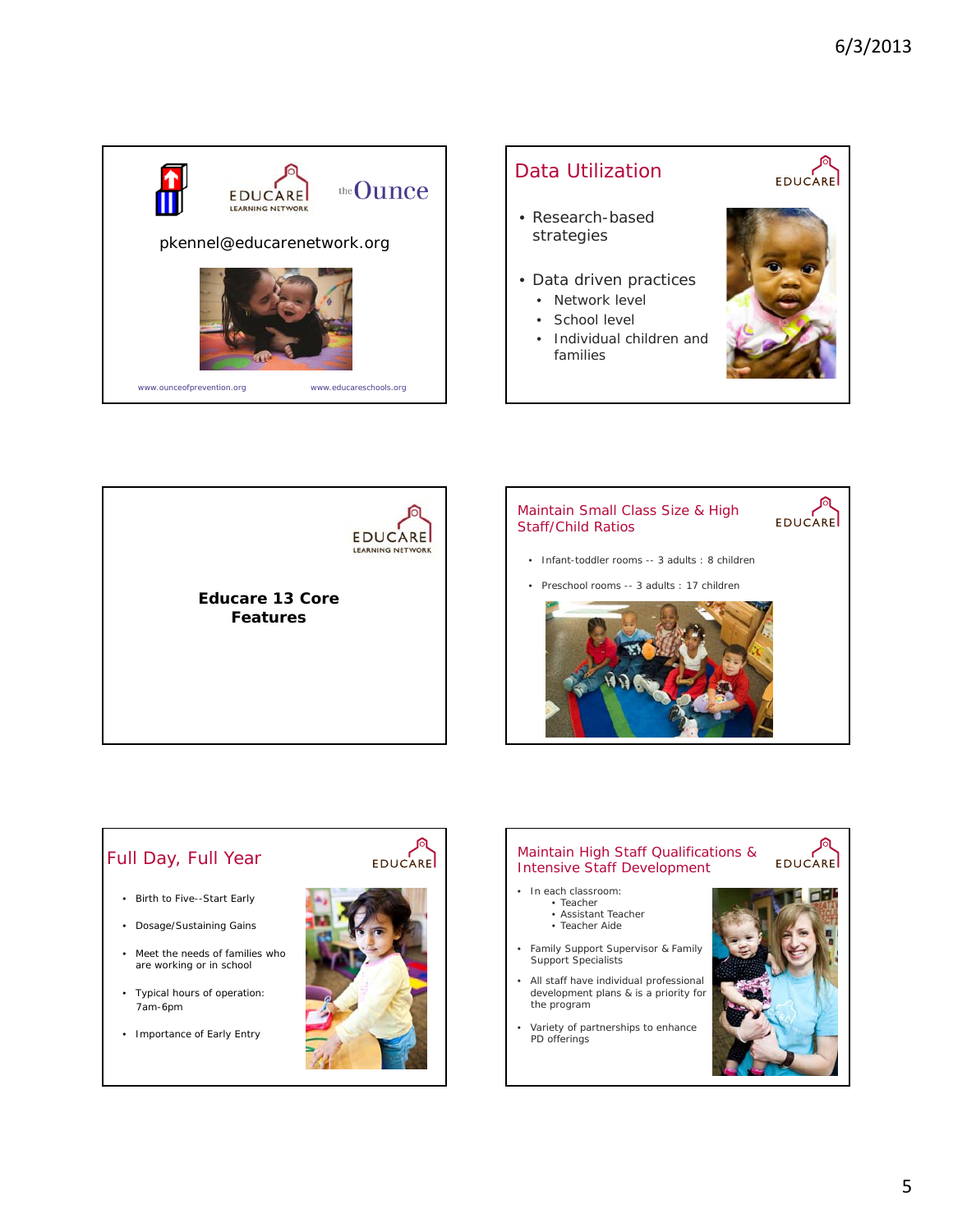







# Full Day, Full Year

- Birth to Five--Start Early
- Dosage/Sustaining Gains
- Meet the needs of families who are working or in school
- Typical hours of operation: 7am-6pm
- Importance of Early Entry



#### ∫ो Maintain High Staff Qualifications & **EDUCARE** Intensive Staff Development • In each classroom:

- Teacher
	- Assistant Teacher
	- Teacher Aide
- Family Support Supervisor & Family Support Specialists
- All staff have individual professional development plans & is a priority for the program
- Variety of partnerships to enhance PD offerings

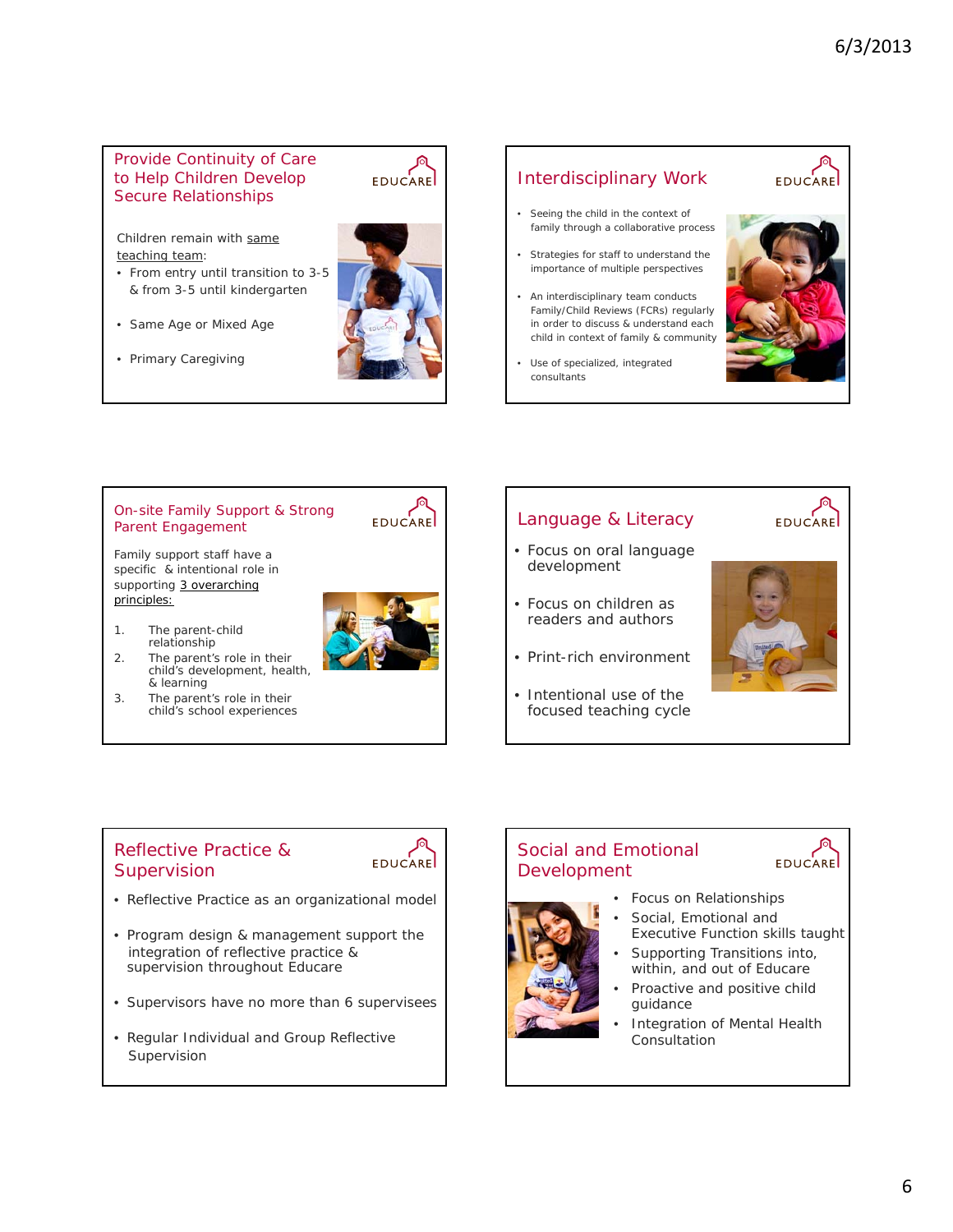#### Provide Continuity of Care to Help Children Develop Secure Relationships

Children remain with same teaching team:

- From entry until transition to 3-5 & from 3-5 until kindergarten
- Same Age or Mixed Age
- Primary Caregiving



**EDUCARE** 

## Interdisciplinary Work

- Seeing the child in the context of family through a collaborative process
- Strategies for staff to understand the importance of multiple perspectives
- An interdisciplinary team conducts Family/Child Reviews (FCRs) regularly in order to discuss & understand each child in context of family & community
- Use of specialized, integrated consultants

Language & Literacy • Focus on oral language

development



**EDUCARE** 

#### On-site Family Support & Strong Parent Engagement

Family support staff have a specific & intentional role in supporting 3 overarching principles:



EDUCARE

- 1. The parent-child relationship 2. The parent's role in their
- child's development, health, & learning
- 3. The parent's role in their child's school experiences

# • Focus on children as readers and authors • Print-rich environment • Intentional use of the focused teaching cycle

### Reflective Practice & **Supervision**



- Reflective Practice as an organizational model
- Program design & management support the integration of reflective practice & supervision throughout Educare
- Supervisors have no more than 6 supervisees
- Regular Individual and Group Reflective Supervision

# Social and Emotional Development



# **EDUCARE**

- Focus on Relationships
- Social, Emotional and Executive Function skills taught
- Supporting Transitions into, within, and out of Educare
- Proactive and positive child guidance
- Integration of Mental Health Consultation